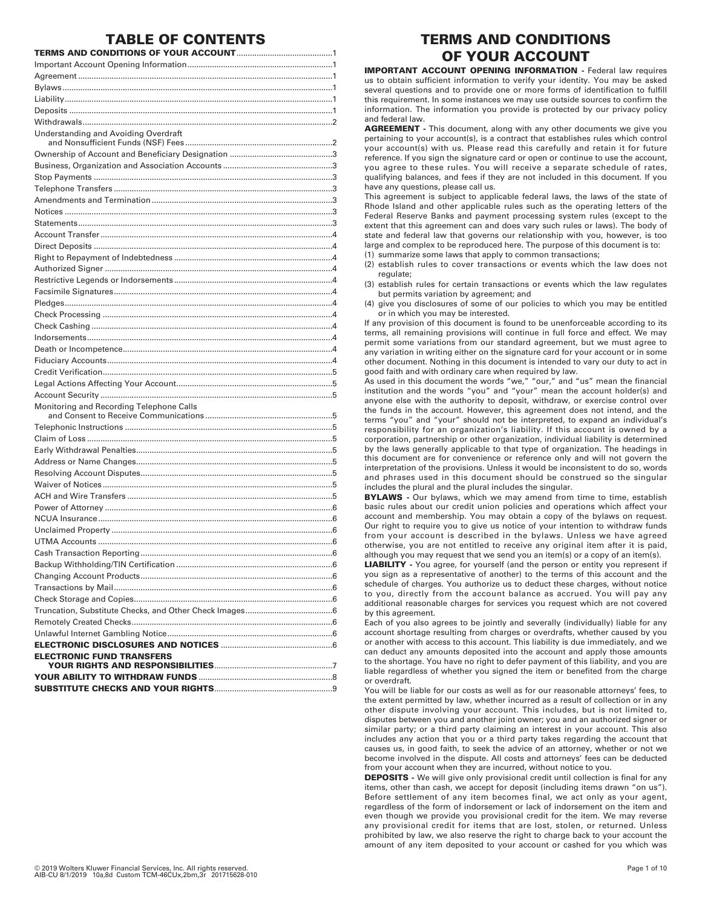# **TABLE OF CONTENTS**

**TERMS AND CONDITIONS OF YOUR ACCOUNT**........................................... 1 Important Account Opening Information................................................................. 1 Agreement .................................................................................................................. 1 Bylaws......................................................................................................................... 1 Liability........................................................................................................................ 1 Deposits ...................................................................................................................... 1 Withdrawals................................................................................................................ 2 Understanding and Avoiding Overdraft and Nonsufficient Funds (NSF) Fees .................................................................. 2 Ownership of Account and Beneficiary Designation .............................................. 3 Business, Organization and Association Accounts ................................................. 3 Stop Payments ........................................................................................................... 3 Telephone Transfers .................................................................................................. 3 Amendments and Termination ................................................................................. 3 Notices ........................................................................................................................ 3 Statements.................................................................................................................. 3 Account Transfer........................................................................................................ 4 Direct Deposits ........................................................................................................... 4 Right to Repayment of Indebtedness ....................................................................... 4 Authorized Signer ...................................................................................................... 4 Restrictive Legends or Indorsements ....................................................................... 4 Facsimile Signatures.................................................................................................. 4 Pledges........................................................................................................................ 4 Check Processing ....................................................................................................... 4 Check Cashing ............................................................................................................ 4 Indorsements.............................................................................................................. 4 Death or Incompetence.............................................................................................. 4 Fiduciary Accounts..................................................................................................... 4 Credit Verification....................................................................................................... 5 Legal Actions Affecting Your Account...................................................................... 5 Account Security ........................................................................................................ 5 Monitoring and Recording Telephone Calls and Consent to Receive Communications ......................................................... 5 Telephonic Instructions ............................................................................................. 5 Claim of Loss .............................................................................................................. 5 Early Withdrawal Penalties........................................................................................ 5 Address or Name Changes........................................................................................ 5 Resolving Account Disputes...................................................................................... 5 Waiver of Notices....................................................................................................... 5 ACH and Wire Transfers ............................................................................................ 5 Power of Attorney ...................................................................................................... 6 NCUA Insurance......................................................................................................... 6 Unclaimed Property ................................................................................................... 6 UTMA Accounts ......................................................................................................... 6 Cash Transaction Reporting...................................................................................... 6 Backup Withholding/TIN Certification ...................................................................... 6 Changing Account Products...................................................................................... 6 Transactions by Mail.................................................................................................. 6 Check Storage and Copies......................................................................................... 6 Truncation, Substitute Checks, and Other Check Images....................................... 6 Remotely Created Checks.......................................................................................... 6 Unlawful Internet Gambling Notice.......................................................................... 6 **ELECTRONIC DISCLOSURES AND NOTICES** .................................................. 6 **ELECTRONIC FUND TRANSFERS YOUR RIGHTS AND RESPONSIBILITIES**..................................................... 7 **YOUR ABILITY TO WITHDRAW FUNDS** ............................................................ 8 **SUBSTITUTE CHECKS AND YOUR RIGHTS**..................................................... 9

# **TERMS AND CONDITIONS OF YOUR ACCOUNT**

**IMPORTANT ACCOUNT OPENING INFORMATION - Federal law requires** us to obtain sufficient information to verify your identity. You may be asked several questions and to provide one or more forms of identification to fulfill this requirement. In some instances we may use outside sources to confirm the information. The information you provide is protected by our privacy policy and federal law.

**AGREEMENT -** This document, along with any other documents we give you pertaining to your account(s), is a contract that establishes rules which control your account(s) with us. Please read this carefully and retain it for future reference. If you sign the signature card or open or continue to use the account, you agree to these rules. You will receive a separate schedule of rates, qualifying balances, and fees if they are not included in this document. If you have any questions, please call us.

This agreement is subject to applicable federal laws, the laws of the state of Rhode Island and other applicable rules such as the operating letters of the Federal Reserve Banks and payment processing system rules (except to the extent that this agreement can and does vary such rules or laws). The body of state and federal law that governs our relationship with you, however, is too large and complex to be reproduced here. The purpose of this document is to:

(1) summarize some laws that apply to common transactions;

(2) establish rules to cover transactions or events which the law does not regulate;

(3) establish rules for certain transactions or events which the law regulates but permits variation by agreement; and

(4) give you disclosures of some of our policies to which you may be entitled or in which you may be interested.

If any provision of this document is found to be unenforceable according to its terms, all remaining provisions will continue in full force and effect. We may permit some variations from our standard agreement, but we must agree to any variation in writing either on the signature card for your account or in some other document. Nothing in this document is intended to vary our duty to act in good faith and with ordinary care when required by law.

As used in this document the words "we," "our," and "us" mean the financial institution and the words "you" and "your" mean the account holder(s) and anyone else with the authority to deposit, withdraw, or exercise control over the funds in the account. However, this agreement does not intend, and the terms "you" and "your" should not be interpreted, to expand an individual's responsibility for an organization's liability. If this account is owned by a corporation, partnership or other organization, individual liability is determined by the laws generally applicable to that type of organization. The headings in this document are for convenience or reference only and will not govern the interpretation of the provisions. Unless it would be inconsistent to do so, words and phrases used in this document should be construed so the singular includes the plural and the plural includes the singular.

**BYLAWS** - Our bylaws, which we may amend from time to time, establish basic rules about our credit union policies and operations which affect your account and membership. You may obtain a copy of the bylaws on request. Our right to require you to give us notice of your intention to withdraw funds from your account is described in the bylaws. Unless we have agreed otherwise, you are not entitled to receive any original item after it is paid, although you may request that we send you an item(s) or a copy of an item(s).

**LIABILITY -** You agree, for yourself (and the person or entity you represent if you sign as a representative of another) to the terms of this account and the schedule of charges. You authorize us to deduct these charges, without notice to you, directly from the account balance as accrued. You will pay any additional reasonable charges for services you request which are not covered by this agreement.

Each of you also agrees to be jointly and severally (individually) liable for any account shortage resulting from charges or overdrafts, whether caused by you or another with access to this account. This liability is due immediately, and we can deduct any amounts deposited into the account and apply those amounts to the shortage. You have no right to defer payment of this liability, and you are liable regardless of whether you signed the item or benefited from the charge or overdraft.

You will be liable for our costs as well as for our reasonable attorneys' fees, to the extent permitted by law, whether incurred as a result of collection or in any other dispute involving your account. This includes, but is not limited to, disputes between you and another joint owner; you and an authorized signer or similar party; or a third party claiming an interest in your account. This also includes any action that you or a third party takes regarding the account that causes us, in good faith, to seek the advice of an attorney, whether or not we become involved in the dispute. All costs and attorneys' fees can be deducted from your account when they are incurred, without notice to you.

**DEPOSITS -** We will give only provisional credit until collection is final for any items, other than cash, we accept for deposit (including items drawn "on us"). Before settlement of any item becomes final, we act only as your agent, regardless of the form of indorsement or lack of indorsement on the item and even though we provide you provisional credit for the item. We may reverse any provisional credit for items that are lost, stolen, or returned. Unless prohibited by law, we also reserve the right to charge back to your account the amount of any item deposited to your account or cashed for you which was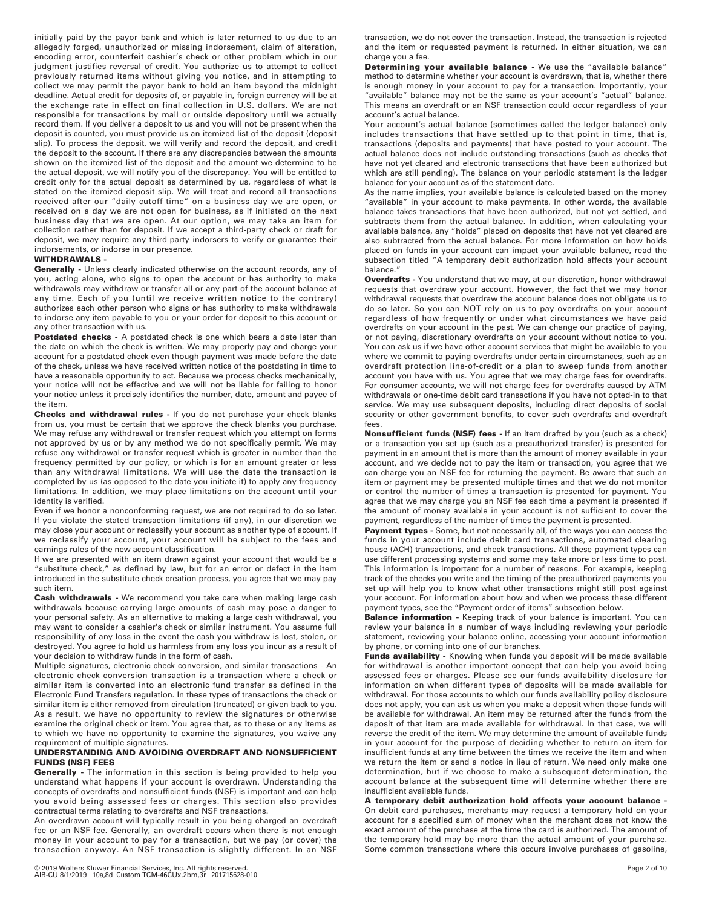initially paid by the payor bank and which is later returned to us due to an allegedly forged, unauthorized or missing indorsement, claim of alteration, encoding error, counterfeit cashier's check or other problem which in our judgment justifies reversal of credit. You authorize us to attempt to collect previously returned items without giving you notice, and in attempting to collect we may permit the payor bank to hold an item beyond the midnight deadline. Actual credit for deposits of, or payable in, foreign currency will be at the exchange rate in effect on final collection in U.S. dollars. We are not responsible for transactions by mail or outside depository until we actually record them. If you deliver a deposit to us and you will not be present when the deposit is counted, you must provide us an itemized list of the deposit (deposit slip). To process the deposit, we will verify and record the deposit, and credit the deposit to the account. If there are any discrepancies between the amounts shown on the itemized list of the deposit and the amount we determine to be the actual deposit, we will notify you of the discrepancy. You will be entitled to credit only for the actual deposit as determined by us, regardless of what is stated on the itemized deposit slip. We will treat and record all transactions received after our "daily cutoff time" on a business day we are open, or received on a day we are not open for business, as if initiated on the next business day that we are open. At our option, we may take an item for collection rather than for deposit. If we accept a third-party check or draft for deposit, we may require any third-party indorsers to verify or guarantee their indorsements, or indorse in our presence.

## **WITHDRAWALS -**

**Generally -** Unless clearly indicated otherwise on the account records, any of you, acting alone, who signs to open the account or has authority to make withdrawals may withdraw or transfer all or any part of the account balance at any time. Each of you (until we receive written notice to the contrary) authorizes each other person who signs or has authority to make withdrawals to indorse any item payable to you or your order for deposit to this account or any other transaction with us.

Postdated checks - A postdated check is one which bears a date later than the date on which the check is written. We may properly pay and charge your account for a postdated check even though payment was made before the date of the check, unless we have received written notice of the postdating in time to have a reasonable opportunity to act. Because we process checks mechanically, your notice will not be effective and we will not be liable for failing to honor your notice unless it precisely identifies the number, date, amount and payee of the item.

**Checks and withdrawal rules -** If you do not purchase your check blanks from us, you must be certain that we approve the check blanks you purchase. We may refuse any withdrawal or transfer request which you attempt on forms not approved by us or by any method we do not specifically permit. We may refuse any withdrawal or transfer request which is greater in number than the frequency permitted by our policy, or which is for an amount greater or less than any withdrawal limitations. We will use the date the transaction is completed by us (as opposed to the date you initiate it) to apply any frequency limitations. In addition, we may place limitations on the account until your identity is verified.

Even if we honor a nonconforming request, we are not required to do so later. If you violate the stated transaction limitations (if any), in our discretion we may close your account or reclassify your account as another type of account. If we reclassify your account, your account will be subject to the fees and earnings rules of the new account classification.

If we are presented with an item drawn against your account that would be a "substitute check," as defined by law, but for an error or defect in the item introduced in the substitute check creation process, you agree that we may pay such item.

**Cash withdrawals -** We recommend you take care when making large cash withdrawals because carrying large amounts of cash may pose a danger to your personal safety. As an alternative to making a large cash withdrawal, you may want to consider a cashier's check or similar instrument. You assume full responsibility of any loss in the event the cash you withdraw is lost, stolen, or destroyed. You agree to hold us harmless from any loss you incur as a result of your decision to withdraw funds in the form of cash.

Multiple signatures, electronic check conversion, and similar transactions - An electronic check conversion transaction is a transaction where a check or similar item is converted into an electronic fund transfer as defined in the Electronic Fund Transfers regulation. In these types of transactions the check or similar item is either removed from circulation (truncated) or given back to you. As a result, we have no opportunity to review the signatures or otherwise examine the original check or item. You agree that, as to these or any items as to which we have no opportunity to examine the signatures, you waive any requirement of multiple signatures.

#### **UNDERSTANDING AND AVOIDING OVERDRAFT AND NONSUFFICIENT FUNDS (NSF) FEES**

**Generally -** The information in this section is being provided to help you understand what happens if your account is overdrawn. Understanding the concepts of overdrafts and nonsufficient funds (NSF) is important and can help you avoid being assessed fees or charges. This section also provides contractual terms relating to overdrafts and NSF transactions.

An overdrawn account will typically result in you being charged an overdraft fee or an NSF fee. Generally, an overdraft occurs when there is not enough money in your account to pay for a transaction, but we pay (or cover) the transaction anyway. An NSF transaction is slightly different. In an NSF

transaction, we do not cover the transaction. Instead, the transaction is rejected and the item or requested payment is returned. In either situation, we can charge you a fee.

**Determining your available balance -** We use the "available balance" method to determine whether your account is overdrawn, that is, whether there is enough money in your account to pay for a transaction. Importantly, your "available" balance may not be the same as your account's "actual" balance. This means an overdraft or an NSF transaction could occur regardless of your account's actual balance.

Your account's actual balance (sometimes called the ledger balance) only includes transactions that have settled up to that point in time, that is, transactions (deposits and payments) that have posted to your account. The actual balance does not include outstanding transactions (such as checks that have not yet cleared and electronic transactions that have been authorized but which are still pending). The balance on your periodic statement is the ledger balance for your account as of the statement date.

As the name implies, your available balance is calculated based on the money "available" in your account to make payments. In other words, the available balance takes transactions that have been authorized, but not yet settled, and subtracts them from the actual balance. In addition, when calculating your available balance, any "holds" placed on deposits that have not yet cleared are also subtracted from the actual balance. For more information on how holds placed on funds in your account can impact your available balance, read the subsection titled "A temporary debit authorization hold affects your account balance."

**Overdrafts -** You understand that we may, at our discretion, honor withdrawal requests that overdraw your account. However, the fact that we may honor withdrawal requests that overdraw the account balance does not obligate us to do so later. So you can NOT rely on us to pay overdrafts on your account regardless of how frequently or under what circumstances we have paid overdrafts on your account in the past. We can change our practice of paying, or not paying, discretionary overdrafts on your account without notice to you. You can ask us if we have other account services that might be available to you where we commit to paying overdrafts under certain circumstances, such as an overdraft protection line-of-credit or a plan to sweep funds from another account you have with us. You agree that we may charge fees for overdrafts. For consumer accounts, we will not charge fees for overdrafts caused by ATM withdrawals or one-time debit card transactions if you have not opted-in to that service. We may use subsequent deposits, including direct deposits of social security or other government benefits, to cover such overdrafts and overdraft fees.

**Nonsufficient funds (NSF) fees -** If an item drafted by you (such as a check) or a transaction you set up (such as a preauthorized transfer) is presented for payment in an amount that is more than the amount of money available in your account, and we decide not to pay the item or transaction, you agree that we can charge you an NSF fee for returning the payment. Be aware that such an item or payment may be presented multiple times and that we do not monitor or control the number of times a transaction is presented for payment. You agree that we may charge you an NSF fee each time a payment is presented if the amount of money available in your account is not sufficient to cover the payment, regardless of the number of times the payment is presented.

**Payment types -** Some, but not necessarily all, of the ways you can access the funds in your account include debit card transactions, automated clearing house (ACH) transactions, and check transactions. All these payment types can use different processing systems and some may take more or less time to post. This information is important for a number of reasons. For example, keeping track of the checks you write and the timing of the preauthorized payments you set up will help you to know what other transactions might still post against your account. For information about how and when we process these different payment types, see the "Payment order of items" subsection below.

**Balance information -** Keeping track of your balance is important. You can review your balance in a number of ways including reviewing your periodic statement, reviewing your balance online, accessing your account information by phone, or coming into one of our branches.

**Funds availability -** Knowing when funds you deposit will be made available for withdrawal is another important concept that can help you avoid being assessed fees or charges. Please see our funds availability disclosure for information on when different types of deposits will be made available for withdrawal. For those accounts to which our funds availability policy disclosure does not apply, you can ask us when you make a deposit when those funds will be available for withdrawal. An item may be returned after the funds from the deposit of that item are made available for withdrawal. In that case, we will reverse the credit of the item. We may determine the amount of available funds in your account for the purpose of deciding whether to return an item for insufficient funds at any time between the times we receive the item and when we return the item or send a notice in lieu of return. We need only make one determination, but if we choose to make a subsequent determination, the account balance at the subsequent time will determine whether there are insufficient available funds.

**A temporary debit authorization hold affects your account balance -** On debit card purchases, merchants may request a temporary hold on your account for a specified sum of money when the merchant does not know the exact amount of the purchase at the time the card is authorized. The amount of the temporary hold may be more than the actual amount of your purchase. Some common transactions where this occurs involve purchases of gasoline,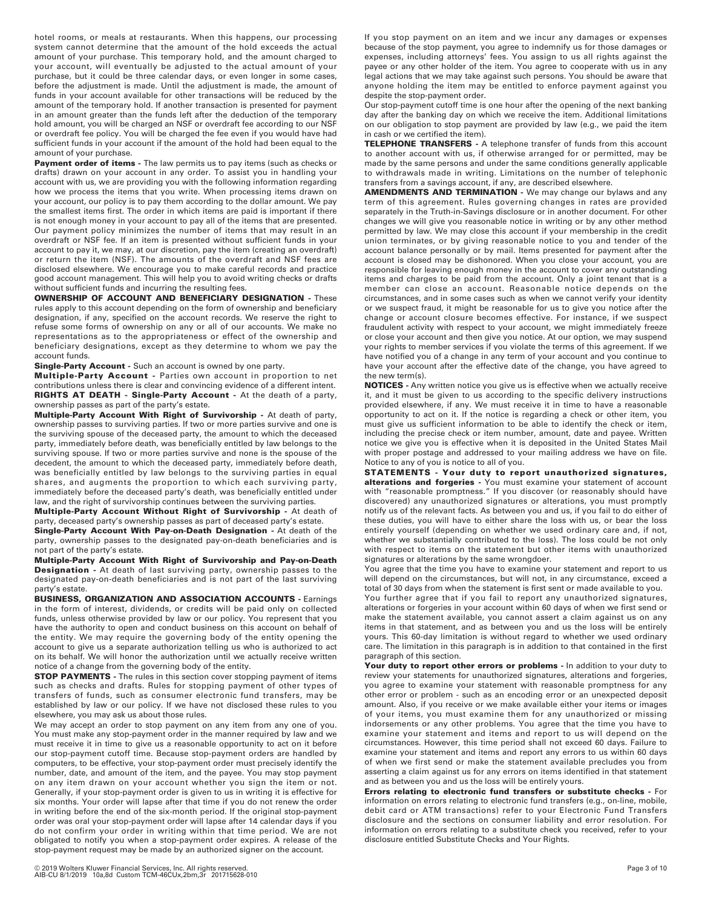hotel rooms, or meals at restaurants. When this happens, our processing system cannot determine that the amount of the hold exceeds the actual amount of your purchase. This temporary hold, and the amount charged to your account, will eventually be adjusted to the actual amount of your purchase, but it could be three calendar days, or even longer in some cases, before the adjustment is made. Until the adjustment is made, the amount of funds in your account available for other transactions will be reduced by the amount of the temporary hold. If another transaction is presented for payment in an amount greater than the funds left after the deduction of the temporary hold amount, you will be charged an NSF or overdraft fee according to our NSF or overdraft fee policy. You will be charged the fee even if you would have had sufficient funds in your account if the amount of the hold had been equal to the amount of your purchase.

**Payment order of items -** The law permits us to pay items (such as checks or drafts) drawn on your account in any order. To assist you in handling your account with us, we are providing you with the following information regarding how we process the items that you write. When processing items drawn on your account, our policy is to pay them according to the dollar amount. We pay the smallest items first. The order in which items are paid is important if there is not enough money in your account to pay all of the items that are presented. Our payment policy minimizes the number of items that may result in an overdraft or NSF fee. If an item is presented without sufficient funds in your account to pay it, we may, at our discretion, pay the item (creating an overdraft) or return the item (NSF). The amounts of the overdraft and NSF fees are disclosed elsewhere. We encourage you to make careful records and practice good account management. This will help you to avoid writing checks or drafts without sufficient funds and incurring the resulting fees.

**OWNERSHIP OF ACCOUNT AND BENEFICIARY DESIGNATION -** These rules apply to this account depending on the form of ownership and beneficiary designation, if any, specified on the account records. We reserve the right to refuse some forms of ownership on any or all of our accounts. We make no representations as to the appropriateness or effect of the ownership and beneficiary designations, except as they determine to whom we pay the account funds.

**Single-Party Account -** Such an account is owned by one party.

**Multiple-Party Account -** Parties own account in proportion to net contributions unless there is clear and convincing evidence of a different intent. **RIGHTS AT DEATH - Single-Party Account -** At the death of a party, ownership passes as part of the party's estate.

**Multiple-Party Account With Right of Survivorship -** At death of party, ownership passes to surviving parties. If two or more parties survive and one is the surviving spouse of the deceased party, the amount to which the deceased party, immediately before death, was beneficially entitled by law belongs to the surviving spouse. If two or more parties survive and none is the spouse of the decedent, the amount to which the deceased party, immediately before death, was beneficially entitled by law belongs to the surviving parties in equal shares, and augments the proportion to which each surviving party, immediately before the deceased party's death, was beneficially entitled under law, and the right of survivorship continues between the surviving parties.

**Multiple-Party Account Without Right of Survivorship -** At death of party, deceased party's ownership passes as part of deceased party's estate.

**Single-Party Account With Pay-on-Death Designation -** At death of the party, ownership passes to the designated pay-on-death beneficiaries and is not part of the party's estate.

**Multiple-Party Account With Right of Survivorship and Pay-on-Death Designation -** At death of last surviving party, ownership passes to the designated pay-on-death beneficiaries and is not part of the last surviving party's estate.

**BUSINESS, ORGANIZATION AND ASSOCIATION ACCOUNTS -** Earnings in the form of interest, dividends, or credits will be paid only on collected funds, unless otherwise provided by law or our policy. You represent that you have the authority to open and conduct business on this account on behalf of the entity. We may require the governing body of the entity opening the account to give us a separate authorization telling us who is authorized to act on its behalf. We will honor the authorization until we actually receive written notice of a change from the governing body of the entity.

**STOP PAYMENTS -** The rules in this section cover stopping payment of items such as checks and drafts. Rules for stopping payment of other types of transfers of funds, such as consumer electronic fund transfers, may be established by law or our policy. If we have not disclosed these rules to you elsewhere, you may ask us about those rules.

We may accept an order to stop payment on any item from any one of you. You must make any stop-payment order in the manner required by law and we must receive it in time to give us a reasonable opportunity to act on it before our stop-payment cutoff time. Because stop-payment orders are handled by computers, to be effective, your stop-payment order must precisely identify the number, date, and amount of the item, and the payee. You may stop payment on any item drawn on your account whether you sign the item or not. Generally, if your stop-payment order is given to us in writing it is effective for six months. Your order will lapse after that time if you do not renew the order in writing before the end of the six-month period. If the original stop-payment order was oral your stop-payment order will lapse after 14 calendar days if you do not confirm your order in writing within that time period. We are not obligated to notify you when a stop-payment order expires. A release of the stop-payment request may be made by an authorized signer on the account.

If you stop payment on an item and we incur any damages or expenses because of the stop payment, you agree to indemnify us for those damages or expenses, including attorneys' fees. You assign to us all rights against the payee or any other holder of the item. You agree to cooperate with us in any legal actions that we may take against such persons. You should be aware that anyone holding the item may be entitled to enforce payment against you despite the stop-payment order.

Our stop-payment cutoff time is one hour after the opening of the next banking day after the banking day on which we receive the item. Additional limitations on our obligation to stop payment are provided by law (e.g., we paid the item in cash or we certified the item).

**TELEPHONE TRANSFERS -** A telephone transfer of funds from this account to another account with us, if otherwise arranged for or permitted, may be made by the same persons and under the same conditions generally applicable to withdrawals made in writing. Limitations on the number of telephonic transfers from a savings account, if any, are described elsewhere.

**AMENDMENTS AND TERMINATION -** We may change our bylaws and any term of this agreement. Rules governing changes in rates are provided separately in the Truth-in-Savings disclosure or in another document. For other changes we will give you reasonable notice in writing or by any other method permitted by law. We may close this account if your membership in the credit union terminates, or by giving reasonable notice to you and tender of the account balance personally or by mail. Items presented for payment after the account is closed may be dishonored. When you close your account, you are responsible for leaving enough money in the account to cover any outstanding items and charges to be paid from the account. Only a joint tenant that is a member can close an account. Reasonable notice depends on the circumstances, and in some cases such as when we cannot verify your identity or we suspect fraud, it might be reasonable for us to give you notice after the change or account closure becomes effective. For instance, if we suspect fraudulent activity with respect to your account, we might immediately freeze or close your account and then give you notice. At our option, we may suspend your rights to member services if you violate the terms of this agreement. If we have notified you of a change in any term of your account and you continue to have your account after the effective date of the change, you have agreed to the new term(s).

**NOTICES -** Any written notice you give us is effective when we actually receive it, and it must be given to us according to the specific delivery instructions provided elsewhere, if any. We must receive it in time to have a reasonable opportunity to act on it. If the notice is regarding a check or other item, you must give us sufficient information to be able to identify the check or item, including the precise check or item number, amount, date and payee. Written notice we give you is effective when it is deposited in the United States Mail with proper postage and addressed to your mailing address we have on file. Notice to any of you is notice to all of you.

**STATEMENTS - Your duty to report unauthorized signatures, alterations and forgeries -** You must examine your statement of account with "reasonable promptness." If you discover (or reasonably should have discovered) any unauthorized signatures or alterations, you must promptly notify us of the relevant facts. As between you and us, if you fail to do either of these duties, you will have to either share the loss with us, or bear the loss entirely yourself (depending on whether we used ordinary care and, if not, whether we substantially contributed to the loss). The loss could be not only with respect to items on the statement but other items with unauthorized signatures or alterations by the same wrongdoer.

You agree that the time you have to examine your statement and report to us will depend on the circumstances, but will not, in any circumstance, exceed a total of 30 days from when the statement is first sent or made available to you.

You further agree that if you fail to report any unauthorized signatures, alterations or forgeries in your account within 60 days of when we first send or make the statement available, you cannot assert a claim against us on any items in that statement, and as between you and us the loss will be entirely yours. This 60-day limitation is without regard to whether we used ordinary care. The limitation in this paragraph is in addition to that contained in the first paragraph of this section.

Your duty to report other errors or problems - In addition to your duty to review your statements for unauthorized signatures, alterations and forgeries, you agree to examine your statement with reasonable promptness for any other error or problem - such as an encoding error or an unexpected deposit amount. Also, if you receive or we make available either your items or images of your items, you must examine them for any unauthorized or missing indorsements or any other problems. You agree that the time you have to examine your statement and items and report to us will depend on the circumstances. However, this time period shall not exceed 60 days. Failure to examine your statement and items and report any errors to us within 60 days of when we first send or make the statement available precludes you from asserting a claim against us for any errors on items identified in that statement and as between you and us the loss will be entirely yours.

**Errors relating to electronic fund transfers or substitute checks -** For information on errors relating to electronic fund transfers (e.g., on-line, mobile, debit card or ATM transactions) refer to your Electronic Fund Transfers disclosure and the sections on consumer liability and error resolution. For information on errors relating to a substitute check you received, refer to your disclosure entitled Substitute Checks and Your Rights.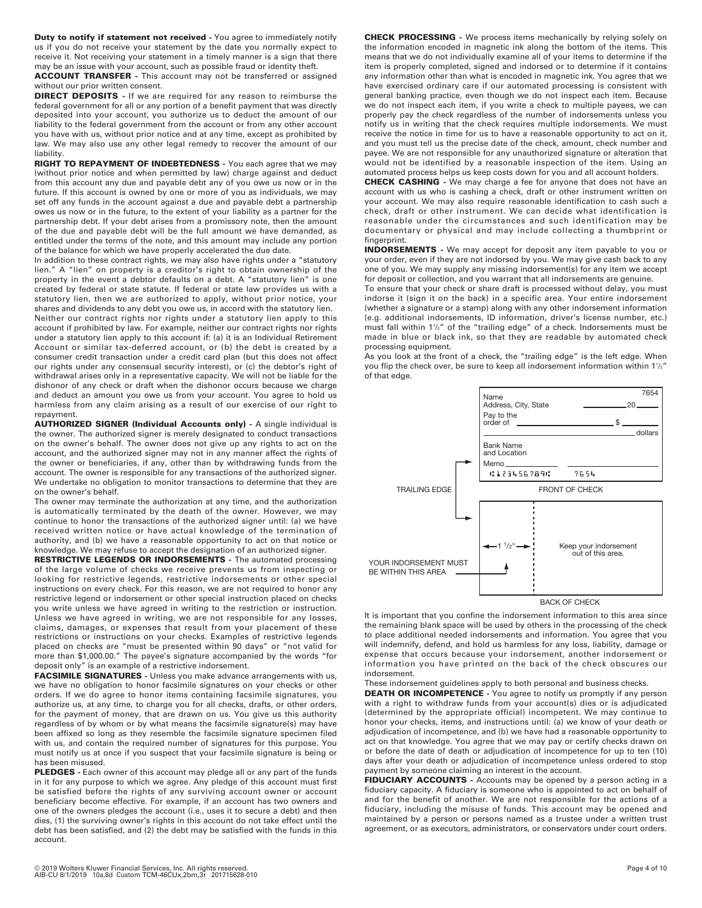**Duty to notify if statement not received -** You agree to immediately notify us if you do not receive your statement by the date you normally expect to receive it. Not receiving your statement in a timely manner is a sign that there may be an issue with your account, such as possible fraud or identity theft.

**ACCOUNT TRANSFER -** This account may not be transferred or assigned without our prior written consent.

**DIRECT DEPOSITS -** If we are required for any reason to reimburse the federal government for all or any portion of a benefit payment that was directly deposited into your account, you authorize us to deduct the amount of our liability to the federal government from the account or from any other account you have with us, without prior notice and at any time, except as prohibited by law. We may also use any other legal remedy to recover the amount of our liability.

**RIGHT TO REPAYMENT OF INDEBTEDNESS -** You each agree that we may (without prior notice and when permitted by law) charge against and deduct from this account any due and payable debt any of you owe us now or in the future. If this account is owned by one or more of you as individuals, we may set off any funds in the account against a due and payable debt a partnership owes us now or in the future, to the extent of your liability as a partner for the partnership debt. If your debt arises from a promissory note, then the amount of the due and payable debt will be the full amount we have demanded, as entitled under the terms of the note, and this amount may include any portion of the balance for which we have properly accelerated the due date.

In addition to these contract rights, we may also have rights under a "statutory lien." A "lien" on property is a creditor's right to obtain ownership of the property in the event a debtor defaults on a debt. A "statutory lien" is one created by federal or state statute. If federal or state law provides us with a statutory lien, then we are authorized to apply, without prior notice, your shares and dividends to any debt you owe us, in accord with the statutory lien.

Neither our contract rights nor rights under a statutory lien apply to this account if prohibited by law. For example, neither our contract rights nor rights under a statutory lien apply to this account if: (a) it is an Individual Retirement Account or similar tax-deferred account, or (b) the debt is created by a consumer credit transaction under a credit card plan (but this does not affect our rights under any consensual security interest), or (c) the debtor's right of withdrawal arises only in a representative capacity. We will not be liable for the dishonor of any check or draft when the dishonor occurs because we charge and deduct an amount you owe us from your account. You agree to hold us harmless from any claim arising as a result of our exercise of our right to repayment.

**AUTHORIZED SIGNER (Individual Accounts only) -** A single individual is the owner. The authorized signer is merely designated to conduct transactions on the owner's behalf. The owner does not give up any rights to act on the account, and the authorized signer may not in any manner affect the rights of the owner or beneficiaries, if any, other than by withdrawing funds from the account. The owner is responsible for any transactions of the authorized signer. We undertake no obligation to monitor transactions to determine that they are on the owner's behalf.

The owner may terminate the authorization at any time, and the authorization is automatically terminated by the death of the owner. However, we may continue to honor the transactions of the authorized signer until: (a) we have received written notice or have actual knowledge of the termination of authority, and (b) we have a reasonable opportunity to act on that notice or knowledge. We may refuse to accept the designation of an authorized signer.

**RESTRICTIVE LEGENDS OR INDORSEMENTS -** The automated processing of the large volume of checks we receive prevents us from inspecting or looking for restrictive legends, restrictive indorsements or other special instructions on every check. For this reason, we are not required to honor any restrictive legend or indorsement or other special instruction placed on checks you write unless we have agreed in writing to the restriction or instruction. Unless we have agreed in writing, we are not responsible for any losses, claims, damages, or expenses that result from your placement of these restrictions or instructions on your checks. Examples of restrictive legends placed on checks are "must be presented within 90 days" or "not valid for more than \$1,000.00." The payee's signature accompanied by the words "for deposit only" is an example of a restrictive indorsement.

**FACSIMILE SIGNATURES -** Unless you make advance arrangements with us, we have no obligation to honor facsimile signatures on your checks or other orders. If we do agree to honor items containing facsimile signatures, you authorize us, at any time, to charge you for all checks, drafts, or other orders, for the payment of money, that are drawn on us. You give us this authority regardless of by whom or by what means the facsimile signature(s) may have been affixed so long as they resemble the facsimile signature specimen filed with us, and contain the required number of signatures for this purpose. You must notify us at once if you suspect that your facsimile signature is being or has been misused.

**PLEDGES -** Each owner of this account may pledge all or any part of the funds in it for any purpose to which we agree. Any pledge of this account must first be satisfied before the rights of any surviving account owner or account beneficiary become effective. For example, if an account has two owners and one of the owners pledges the account (i.e., uses it to secure a debt) and then dies, (1) the surviving owner's rights in this account do not take effect until the debt has been satisfied, and (2) the debt may be satisfied with the funds in this account.

**CHECK PROCESSING -** We process items mechanically by relying solely on the information encoded in magnetic ink along the bottom of the items. This means that we do not individually examine all of your items to determine if the item is properly completed, signed and indorsed or to determine if it contains any information other than what is encoded in magnetic ink. You agree that we have exercised ordinary care if our automated processing is consistent with general banking practice, even though we do not inspect each item. Because we do not inspect each item, if you write a check to multiple payees, we can properly pay the check regardless of the number of indorsements unless you notify us in writing that the check requires multiple indorsements. We must receive the notice in time for us to have a reasonable opportunity to act on it, and you must tell us the precise date of the check, amount, check number and payee. We are not responsible for any unauthorized signature or alteration that would not be identified by a reasonable inspection of the item. Using an automated process helps us keep costs down for you and all account holders.

**CHECK CASHING -** We may charge a fee for anyone that does not have an account with us who is cashing a check, draft or other instrument written on your account. We may also require reasonable identification to cash such a check, draft or other instrument. We can decide what identification is reasonable under the circumstances and such identification may be documentary or physical and may include collecting a thumbprint or fingerprint.

**INDORSEMENTS -** We may accept for deposit any item payable to you or your order, even if they are not indorsed by you. We may give cash back to any one of you. We may supply any missing indorsement(s) for any item we accept for deposit or collection, and you warrant that all indorsements are genuine.

To ensure that your check or share draft is processed without delay, you must indorse it (sign it on the back) in a specific area. Your entire indorsement (whether a signature or a stamp) along with any other indorsement information (e.g. additional indorsements, ID information, driver's license number, etc.) must fall within 11 /2" of the "trailing edge" of a check. Indorsements must be made in blue or black ink, so that they are readable by automated check processing equipment.

As you look at the front of a check, the "trailing edge" is the left edge. When you flip the check over, be sure to keep all indorsement information within 1½" of that edge.



It is important that you confine the indorsement information to this area since the remaining blank space will be used by others in the processing of the check to place additional needed indorsements and information. You agree that you will indemnify, defend, and hold us harmless for any loss, liability, damage or expense that occurs because your indorsement, another indorsement or information you have printed on the back of the check obscures our indorsement.

These indorsement guidelines apply to both personal and business checks.

**DEATH OR INCOMPETENCE -** You agree to notify us promptly if any person with a right to withdraw funds from your account(s) dies or is adjudicated (determined by the appropriate official) incompetent. We may continue to honor your checks, items, and instructions until: (a) we know of your death or adjudication of incompetence, and (b) we have had a reasonable opportunity to act on that knowledge. You agree that we may pay or certify checks drawn on or before the date of death or adjudication of incompetence for up to ten (10) days after your death or adjudication of incompetence unless ordered to stop payment by someone claiming an interest in the account.

**FIDUCIARY ACCOUNTS -** Accounts may be opened by a person acting in a fiduciary capacity. A fiduciary is someone who is appointed to act on behalf of and for the benefit of another. We are not responsible for the actions of a fiduciary, including the misuse of funds. This account may be opened and maintained by a person or persons named as a trustee under a written trust agreement, or as executors, administrators, or conservators under court orders.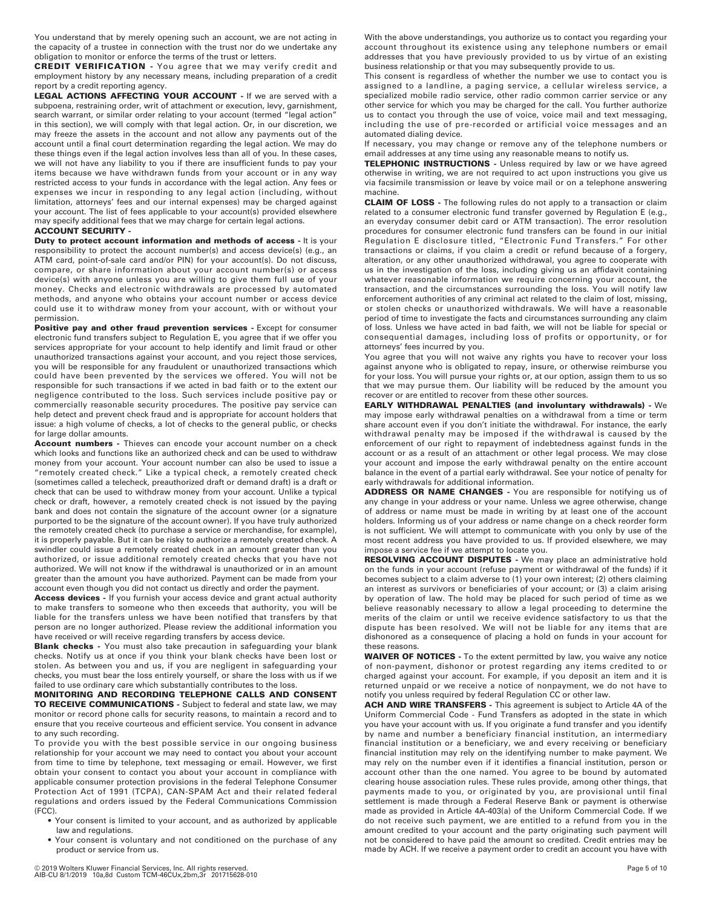You understand that by merely opening such an account, we are not acting in the capacity of a trustee in connection with the trust nor do we undertake any obligation to monitor or enforce the terms of the trust or letters.

**CREDIT VERIFICATION** - You agree that we may verify credit and employment history by any necessary means, including preparation of a credit report by a credit reporting agency.

**LEGAL ACTIONS AFFECTING YOUR ACCOUNT -** If we are served with a subpoena, restraining order, writ of attachment or execution, levy, garnishment, search warrant, or similar order relating to your account (termed "legal action" in this section), we will comply with that legal action. Or, in our discretion, we may freeze the assets in the account and not allow any payments out of the account until a final court determination regarding the legal action. We may do these things even if the legal action involves less than all of you. In these cases, we will not have any liability to you if there are insufficient funds to pay your items because we have withdrawn funds from your account or in any way restricted access to your funds in accordance with the legal action. Any fees or expenses we incur in responding to any legal action (including, without limitation, attorneys' fees and our internal expenses) may be charged against your account. The list of fees applicable to your account(s) provided elsewhere may specify additional fees that we may charge for certain legal actions.

## **ACCOUNT SECURITY -**

**Duty to protect account information and methods of access -** It is your responsibility to protect the account number(s) and access device(s) (e.g., an ATM card, point-of-sale card and/or PIN) for your account(s). Do not discuss, compare, or share information about your account number(s) or access device(s) with anyone unless you are willing to give them full use of your money. Checks and electronic withdrawals are processed by automated methods, and anyone who obtains your account number or access device could use it to withdraw money from your account, with or without your permission.

**Positive pay and other fraud prevention services -** Except for consumer electronic fund transfers subject to Regulation E, you agree that if we offer you services appropriate for your account to help identify and limit fraud or other unauthorized transactions against your account, and you reject those services, you will be responsible for any fraudulent or unauthorized transactions which could have been prevented by the services we offered. You will not be responsible for such transactions if we acted in bad faith or to the extent our negligence contributed to the loss. Such services include positive pay or commercially reasonable security procedures. The positive pay service can help detect and prevent check fraud and is appropriate for account holders that issue: a high volume of checks, a lot of checks to the general public, or checks for large dollar amounts.

**Account numbers -** Thieves can encode your account number on a check which looks and functions like an authorized check and can be used to withdraw money from your account. Your account number can also be used to issue a "remotely created check." Like a typical check, a remotely created check (sometimes called a telecheck, preauthorized draft or demand draft) is a draft or check that can be used to withdraw money from your account. Unlike a typical check or draft, however, a remotely created check is not issued by the paying bank and does not contain the signature of the account owner (or a signature purported to be the signature of the account owner). If you have truly authorized the remotely created check (to purchase a service or merchandise, for example), it is properly payable. But it can be risky to authorize a remotely created check. A swindler could issue a remotely created check in an amount greater than you authorized, or issue additional remotely created checks that you have not authorized. We will not know if the withdrawal is unauthorized or in an amount greater than the amount you have authorized. Payment can be made from your account even though you did not contact us directly and order the payment.

**Access devices -** If you furnish your access device and grant actual authority to make transfers to someone who then exceeds that authority, you will be liable for the transfers unless we have been notified that transfers by that person are no longer authorized. Please review the additional information you have received or will receive regarding transfers by access device.

**Blank checks -** You must also take precaution in safeguarding your blank checks. Notify us at once if you think your blank checks have been lost or stolen. As between you and us, if you are negligent in safeguarding your checks, you must bear the loss entirely yourself, or share the loss with us if we failed to use ordinary care which substantially contributes to the loss.

**MONITORING AND RECORDING TELEPHONE CALLS AND CONSENT TO RECEIVE COMMUNICATIONS -** Subject to federal and state law, we may monitor or record phone calls for security reasons, to maintain a record and to ensure that you receive courteous and efficient service. You consent in advance to any such recording.

To provide you with the best possible service in our ongoing business relationship for your account we may need to contact you about your account from time to time by telephone, text messaging or email. However, we first obtain your consent to contact you about your account in compliance with applicable consumer protection provisions in the federal Telephone Consumer Protection Act of 1991 (TCPA), CAN-SPAM Act and their related federal regulations and orders issued by the Federal Communications Commission (FCC).

- Your consent is limited to your account, and as authorized by applicable law and regulations.
- Your consent is voluntary and not conditioned on the purchase of any product or service from us.

With the above understandings, you authorize us to contact you regarding your account throughout its existence using any telephone numbers or email addresses that you have previously provided to us by virtue of an existing business relationship or that you may subsequently provide to us.

This consent is regardless of whether the number we use to contact you is assigned to a landline, a paging service, a cellular wireless service, a specialized mobile radio service, other radio common carrier service or any other service for which you may be charged for the call. You further authorize us to contact you through the use of voice, voice mail and text messaging, including the use of pre-recorded or artificial voice messages and an automated dialing device.

If necessary, you may change or remove any of the telephone numbers or email addresses at any time using any reasonable means to notify us.

**TELEPHONIC INSTRUCTIONS -** Unless required by law or we have agreed otherwise in writing, we are not required to act upon instructions you give us via facsimile transmission or leave by voice mail or on a telephone answering machine.

**CLAIM OF LOSS -** The following rules do not apply to a transaction or claim related to a consumer electronic fund transfer governed by Regulation E (e.g., an everyday consumer debit card or ATM transaction). The error resolution procedures for consumer electronic fund transfers can be found in our initial Regulation E disclosure titled, "Electronic Fund Transfers." For other transactions or claims, if you claim a credit or refund because of a forgery, alteration, or any other unauthorized withdrawal, you agree to cooperate with us in the investigation of the loss, including giving us an affidavit containing whatever reasonable information we require concerning your account, the transaction, and the circumstances surrounding the loss. You will notify law enforcement authorities of any criminal act related to the claim of lost, missing, or stolen checks or unauthorized withdrawals. We will have a reasonable period of time to investigate the facts and circumstances surrounding any claim of loss. Unless we have acted in bad faith, we will not be liable for special or consequential damages, including loss of profits or opportunity, or for attorneys' fees incurred by you.

You agree that you will not waive any rights you have to recover your loss against anyone who is obligated to repay, insure, or otherwise reimburse you for your loss. You will pursue your rights or, at our option, assign them to us so that we may pursue them. Our liability will be reduced by the amount you recover or are entitled to recover from these other sources.

**EARLY WITHDRAWAL PENALTIES (and involuntary withdrawals) -** We may impose early withdrawal penalties on a withdrawal from a time or term share account even if you don't initiate the withdrawal. For instance, the early withdrawal penalty may be imposed if the withdrawal is caused by the enforcement of our right to repayment of indebtedness against funds in the account or as a result of an attachment or other legal process. We may close your account and impose the early withdrawal penalty on the entire account balance in the event of a partial early withdrawal. See your notice of penalty for early withdrawals for additional information.

**ADDRESS OR NAME CHANGES -** You are responsible for notifying us of any change in your address or your name. Unless we agree otherwise, change of address or name must be made in writing by at least one of the account holders. Informing us of your address or name change on a check reorder form is not sufficient. We will attempt to communicate with you only by use of the most recent address you have provided to us. If provided elsewhere, we may impose a service fee if we attempt to locate you.

**RESOLVING ACCOUNT DISPUTES -** We may place an administrative hold on the funds in your account (refuse payment or withdrawal of the funds) if it becomes subject to a claim adverse to (1) your own interest; (2) others claiming an interest as survivors or beneficiaries of your account; or (3) a claim arising by operation of law. The hold may be placed for such period of time as we believe reasonably necessary to allow a legal proceeding to determine the merits of the claim or until we receive evidence satisfactory to us that the dispute has been resolved. We will not be liable for any items that are dishonored as a consequence of placing a hold on funds in your account for these reasons.

**WAIVER OF NOTICES -** To the extent permitted by law, you waive any notice of non-payment, dishonor or protest regarding any items credited to or charged against your account. For example, if you deposit an item and it is returned unpaid or we receive a notice of nonpayment, we do not have to notify you unless required by federal Regulation CC or other law.

**ACH AND WIRE TRANSFERS -** This agreement is subject to Article 4A of the Uniform Commercial Code - Fund Transfers as adopted in the state in which you have your account with us. If you originate a fund transfer and you identify by name and number a beneficiary financial institution, an intermediary financial institution or a beneficiary, we and every receiving or beneficiary financial institution may rely on the identifying number to make payment. We may rely on the number even if it identifies a financial institution, person or account other than the one named. You agree to be bound by automated clearing house association rules. These rules provide, among other things, that payments made to you, or originated by you, are provisional until final settlement is made through a Federal Reserve Bank or payment is otherwise made as provided in Article 4A-403(a) of the Uniform Commercial Code. If we do not receive such payment, we are entitled to a refund from you in the amount credited to your account and the party originating such payment will not be considered to have paid the amount so credited. Credit entries may be made by ACH. If we receive a payment order to credit an account you have with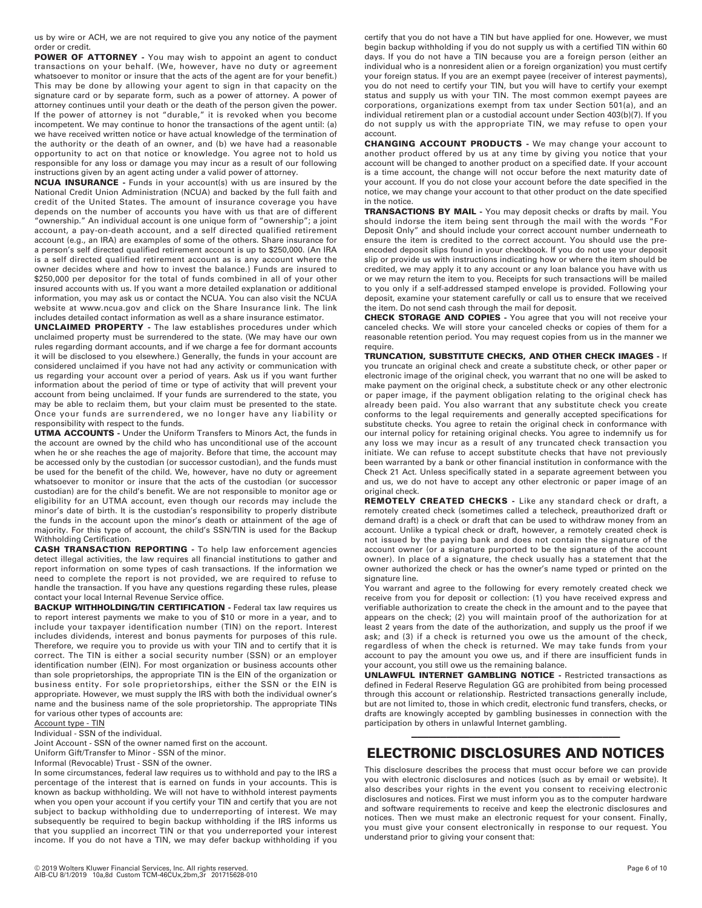us by wire or ACH, we are not required to give you any notice of the payment order or credit.

**POWER OF ATTORNEY -** You may wish to appoint an agent to conduct transactions on your behalf. (We, however, have no duty or agreement whatsoever to monitor or insure that the acts of the agent are for your benefit.) This may be done by allowing your agent to sign in that capacity on the signature card or by separate form, such as a power of attorney. A power of attorney continues until your death or the death of the person given the power. If the power of attorney is not "durable," it is revoked when you become incompetent. We may continue to honor the transactions of the agent until: (a) we have received written notice or have actual knowledge of the termination of the authority or the death of an owner, and (b) we have had a reasonable opportunity to act on that notice or knowledge. You agree not to hold us responsible for any loss or damage you may incur as a result of our following instructions given by an agent acting under a valid power of attorney.

**NCUA INSURANCE -** Funds in your account(s) with us are insured by the National Credit Union Administration (NCUA) and backed by the full faith and credit of the United States. The amount of insurance coverage you have depends on the number of accounts you have with us that are of different "ownership." An individual account is one unique form of "ownership"; a joint account, a pay-on-death account, and a self directed qualified retirement account (e.g., an IRA) are examples of some of the others. Share insurance for a person's self directed qualified retirement account is up to \$250,000. (An IRA is a self directed qualified retirement account as is any account where the owner decides where and how to invest the balance.) Funds are insured to \$250,000 per depositor for the total of funds combined in all of your other insured accounts with us. If you want a more detailed explanation or additional information, you may ask us or contact the NCUA. You can also visit the NCUA website at www.ncua.gov and click on the Share Insurance link. The link includes detailed contact information as well as a share insurance estimator.

**UNCLAIMED PROPERTY -** The law establishes procedures under which unclaimed property must be surrendered to the state. (We may have our own rules regarding dormant accounts, and if we charge a fee for dormant accounts it will be disclosed to you elsewhere.) Generally, the funds in your account are considered unclaimed if you have not had any activity or communication with us regarding your account over a period of years. Ask us if you want further information about the period of time or type of activity that will prevent your account from being unclaimed. If your funds are surrendered to the state, you may be able to reclaim them, but your claim must be presented to the state. Once your funds are surrendered, we no longer have any liability or responsibility with respect to the funds.

**UTMA ACCOUNTS -** Under the Uniform Transfers to Minors Act, the funds in the account are owned by the child who has unconditional use of the account when he or she reaches the age of majority. Before that time, the account may be accessed only by the custodian (or successor custodian), and the funds must be used for the benefit of the child. We, however, have no duty or agreement whatsoever to monitor or insure that the acts of the custodian (or successor custodian) are for the child's benefit. We are not responsible to monitor age or eligibility for an UTMA account, even though our records may include the minor's date of birth. It is the custodian's responsibility to properly distribute the funds in the account upon the minor's death or attainment of the age of majority. For this type of account, the child's SSN/TIN is used for the Backup Withholding Certification.

**CASH TRANSACTION REPORTING -** To help law enforcement agencies detect illegal activities, the law requires all financial institutions to gather and report information on some types of cash transactions. If the information we need to complete the report is not provided, we are required to refuse to handle the transaction. If you have any questions regarding these rules, please contact your local Internal Revenue Service office.

**BACKUP WITHHOLDING/TIN CERTIFICATION - Federal tax law requires us** to report interest payments we make to you of \$10 or more in a year, and to include your taxpayer identification number (TIN) on the report. Interest includes dividends, interest and bonus payments for purposes of this rule. Therefore, we require you to provide us with your TIN and to certify that it is correct. The TIN is either a social security number (SSN) or an employer identification number (EIN). For most organization or business accounts other than sole proprietorships, the appropriate TIN is the EIN of the organization or business entity. For sole proprietorships, either the SSN or the EIN is appropriate. However, we must supply the IRS with both the individual owner's name and the business name of the sole proprietorship. The appropriate TINs for various other types of accounts are:

### Account type - TIN

Individual - SSN of the individual.

Joint Account - SSN of the owner named first on the account.

Uniform Gift/Transfer to Minor - SSN of the minor.

Informal (Revocable) Trust - SSN of the owner.

In some circumstances, federal law requires us to withhold and pay to the IRS a percentage of the interest that is earned on funds in your accounts. This is known as backup withholding. We will not have to withhold interest payments when you open your account if you certify your TIN and certify that you are not subject to backup withholding due to underreporting of interest. We may subsequently be required to begin backup withholding if the IRS informs us that you supplied an incorrect TIN or that you underreported your interest income. If you do not have a TIN, we may defer backup withholding if you

certify that you do not have a TIN but have applied for one. However, we must begin backup withholding if you do not supply us with a certified TIN within 60 days. If you do not have a TIN because you are a foreign person (either an individual who is a nonresident alien or a foreign organization) you must certify your foreign status. If you are an exempt payee (receiver of interest payments), you do not need to certify your TIN, but you will have to certify your exempt status and supply us with your TIN. The most common exempt payees are corporations, organizations exempt from tax under Section 501(a), and an individual retirement plan or a custodial account under Section 403(b)(7). If you do not supply us with the appropriate TIN, we may refuse to open your account.

**CHANGING ACCOUNT PRODUCTS -** We may change your account to another product offered by us at any time by giving you notice that your account will be changed to another product on a specified date. If your account is a time account, the change will not occur before the next maturity date of your account. If you do not close your account before the date specified in the notice, we may change your account to that other product on the date specified in the notice.

**TRANSACTIONS BY MAIL -** You may deposit checks or drafts by mail. You should indorse the item being sent through the mail with the words "For Deposit Only" and should include your correct account number underneath to ensure the item is credited to the correct account. You should use the preencoded deposit slips found in your checkbook. If you do not use your deposit slip or provide us with instructions indicating how or where the item should be credited, we may apply it to any account or any loan balance you have with us or we may return the item to you. Receipts for such transactions will be mailed to you only if a self-addressed stamped envelope is provided. Following your deposit, examine your statement carefully or call us to ensure that we received the item. Do not send cash through the mail for deposit.

**CHECK STORAGE AND COPIES -** You agree that you will not receive your canceled checks. We will store your canceled checks or copies of them for a reasonable retention period. You may request copies from us in the manner we require.

**TRUNCATION, SUBSTITUTE CHECKS, AND OTHER CHECK IMAGES -** If you truncate an original check and create a substitute check, or other paper or electronic image of the original check, you warrant that no one will be asked to make payment on the original check, a substitute check or any other electronic or paper image, if the payment obligation relating to the original check has already been paid. You also warrant that any substitute check you create conforms to the legal requirements and generally accepted specifications for substitute checks. You agree to retain the original check in conformance with our internal policy for retaining original checks. You agree to indemnify us for any loss we may incur as a result of any truncated check transaction you initiate. We can refuse to accept substitute checks that have not previously been warranted by a bank or other financial institution in conformance with the Check 21 Act. Unless specifically stated in a separate agreement between you and us, we do not have to accept any other electronic or paper image of an original check.

**REMOTELY CREATED CHECKS -** Like any standard check or draft, a remotely created check (sometimes called a telecheck, preauthorized draft or demand draft) is a check or draft that can be used to withdraw money from an account. Unlike a typical check or draft, however, a remotely created check is not issued by the paying bank and does not contain the signature of the account owner (or a signature purported to be the signature of the account owner). In place of a signature, the check usually has a statement that the owner authorized the check or has the owner's name typed or printed on the signature line.

You warrant and agree to the following for every remotely created check we receive from you for deposit or collection: (1) you have received express and verifiable authorization to create the check in the amount and to the payee that appears on the check; (2) you will maintain proof of the authorization for at least 2 years from the date of the authorization, and supply us the proof if we ask; and (3) if a check is returned you owe us the amount of the check, regardless of when the check is returned. We may take funds from your account to pay the amount you owe us, and if there are insufficient funds in your account, you still owe us the remaining balance.

**UNLAWFUL INTERNET GAMBLING NOTICE -** Restricted transactions as defined in Federal Reserve Regulation GG are prohibited from being processed through this account or relationship. Restricted transactions generally include, but are not limited to, those in which credit, electronic fund transfers, checks, or drafts are knowingly accepted by gambling businesses in connection with the participation by others in unlawful Internet gambling.

## ———————————————————————————————————— **ELECTRONIC DISCLOSURES AND NOTICES**

This disclosure describes the process that must occur before we can provide you with electronic disclosures and notices (such as by email or website). It also describes your rights in the event you consent to receiving electronic disclosures and notices. First we must inform you as to the computer hardware and software requirements to receive and keep the electronic disclosures and notices. Then we must make an electronic request for your consent. Finally, you must give your consent electronically in response to our request. You understand prior to giving your consent that: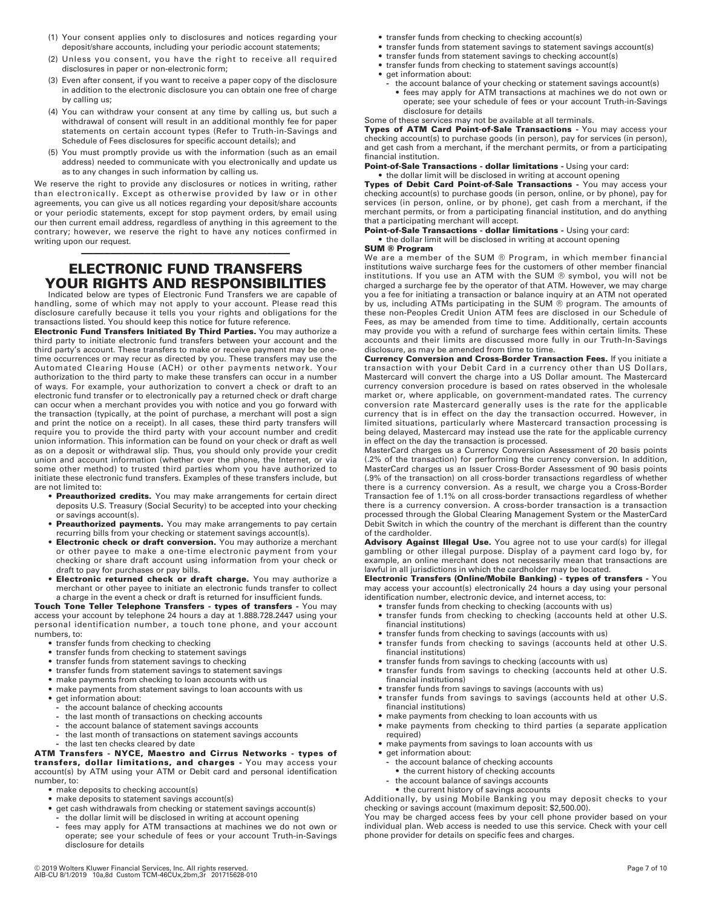- (1) Your consent applies only to disclosures and notices regarding your deposit/share accounts, including your periodic account statements;
- (2) Unless you consent, you have the right to receive all required disclosures in paper or non-electronic form;
- (3) Even after consent, if you want to receive a paper copy of the disclosure in addition to the electronic disclosure you can obtain one free of charge by calling us;
- (4) You can withdraw your consent at any time by calling us, but such a withdrawal of consent will result in an additional monthly fee for paper statements on certain account types (Refer to Truth-in-Savings and Schedule of Fees disclosures for specific account details); and
- (5) You must promptly provide us with the information (such as an email address) needed to communicate with you electronically and update us as to any changes in such information by calling us.

We reserve the right to provide any disclosures or notices in writing, rather than electronically. Except as otherwise provided by law or in other agreements, you can give us all notices regarding your deposit/share accounts or your periodic statements, except for stop payment orders, by email using our then current email address, regardless of anything in this agreement to the contrary; however, we reserve the right to have any notices confirmed in writing upon our request.

## ———————————————————————————————————— **ELECTRONIC FUND TRANSFERS YOUR RIGHTS AND RESPONSIBILITIES**

Indicated below are types of Electronic Fund Transfers we are capable of handling, some of which may not apply to your account. Please read this disclosure carefully because it tells you your rights and obligations for the transactions listed. You should keep this notice for future reference.

**Electronic Fund Transfers Initiated By Third Parties.** You may authorize a third party to initiate electronic fund transfers between your account and the third party's account. These transfers to make or receive payment may be onetime occurrences or may recur as directed by you. These transfers may use the Automated Clearing House (ACH) or other payments network. Your authorization to the third party to make these transfers can occur in a number of ways. For example, your authorization to convert a check or draft to an electronic fund transfer or to electronically pay a returned check or draft charge can occur when a merchant provides you with notice and you go forward with the transaction (typically, at the point of purchase, a merchant will post a sign and print the notice on a receipt). In all cases, these third party transfers will require you to provide the third party with your account number and credit union information. This information can be found on your check or draft as well as on a deposit or withdrawal slip. Thus, you should only provide your credit union and account information (whether over the phone, the Internet, or via some other method) to trusted third parties whom you have authorized to initiate these electronic fund transfers. Examples of these transfers include, but are not limited to:

- **Preauthorized credits.** You may make arrangements for certain direct deposits U.S. Treasury (Social Security) to be accepted into your checking or savings account(s).
- **Preauthorized payments.** You may make arrangements to pay certain recurring bills from your checking or statement savings account(s).
- **Electronic check or draft conversion.** You may authorize a merchant or other payee to make a one-time electronic payment from your checking or share draft account using information from your check or draft to pay for purchases or pay bills.
- **Electronic returned check or draft charge.** You may authorize a merchant or other payee to initiate an electronic funds transfer to collect a charge in the event a check or draft is returned for insufficient funds.

**Touch Tone Teller Telephone Transfers - types of transfers -** You may access your account by telephone 24 hours a day at 1.888.728.2447 using your personal identification number, a touch tone phone, and your account numbers, to:

- **•** transfer funds from checking to checking
- **•** transfer funds from checking to statement savings
- **•** transfer funds from statement savings to checking
- **•** transfer funds from statement savings to statement savings
- **•** make payments from checking to loan accounts with us
- **•** make payments from statement savings to loan accounts with us
- **•** get information about:
	- **-** the account balance of checking accounts
	- **-** the last month of transactions on checking accounts
	- **-** the account balance of statement savings accounts
	- **-** the last month of transactions on statement savings accounts
	- **-** the last ten checks cleared by date

**ATM Transfers - NYCE, Maestro and Cirrus Networks - types of transfers, dollar limitations, and charges -** You may access your account(s) by ATM using your ATM or Debit card and personal identification number, to:

- **•** make deposits to checking account(s)
- **•** make deposits to statement savings account(s)
- **•** get cash withdrawals from checking or statement savings account(s)
- **-** the dollar limit will be disclosed in writing at account opening
- **-** fees may apply for ATM transactions at machines we do not own or operate; see your schedule of fees or your account Truth-in-Savings disclosure for details
- **•** transfer funds from checking to checking account(s)
- **•** transfer funds from statement savings to statement savings account(s)
- **•** transfer funds from statement savings to checking account(s)
- **•** transfer funds from checking to statement savings account(s)
- **•** get information about:
	- **-** the account balance of your checking or statement savings account(s) **•** fees may apply for ATM transactions at machines we do not own or
		- operate; see your schedule of fees or your account Truth-in-Savings disclosure for details

## Some of these services may not be available at all terminals.

**Types of ATM Card Point-of-Sale Transactions -** You may access your checking account(s) to purchase goods (in person), pay for services (in person), and get cash from a merchant, if the merchant permits, or from a participating financial institution.

**Point-of-Sale Transactions - dollar limitations -** Using your card: • the dollar limit will be disclosed in writing at account opening

**Types of Debit Card Point-of-Sale Transactions -** You may access your checking account(s) to purchase goods (in person, online, or by phone), pay for services (in person, online, or by phone), get cash from a merchant, if the merchant permits, or from a participating financial institution, and do anything that a participating merchant will accept.

**Point-of-Sale Transactions - dollar limitations - Using your card: •** the dollar limit will be disclosed in writing at account opening

## **SUM ® Program**

We are a member of the SUM ® Program, in which member financial institutions waive surcharge fees for the customers of other member financial institutions. If you use an ATM with the SUM ® symbol, you will not be charged a surcharge fee by the operator of that ATM. However, we may charge you a fee for initiating a transaction or balance inquiry at an ATM not operated by us, including ATMs participating in the SUM ® program. The amounts of these non-Peoples Credit Union ATM fees are disclosed in our Schedule of Fees, as may be amended from time to time. Additionally, certain accounts may provide you with a refund of surcharge fees within certain limits. These accounts and their limits are discussed more fully in our Truth-In-Savings disclosure, as may be amended from time to time.

**Currency Conversion and Cross-Border Transaction Fees.** If you initiate a transaction with your Debit Card in a currency other than US Dollars, Mastercard will convert the charge into a US Dollar amount. The Mastercard currency conversion procedure is based on rates observed in the wholesale market or, where applicable, on government-mandated rates. The currency conversion rate Mastercard generally uses is the rate for the applicable currency that is in effect on the day the transaction occurred. However, in limited situations, particularly where Mastercard transaction processing is being delayed, Mastercard may instead use the rate for the applicable currency in effect on the day the transaction is processed.

MasterCard charges us a Currency Conversion Assessment of 20 basis points (.2% of the transaction) for performing the currency conversion. In addition, MasterCard charges us an Issuer Cross-Border Assessment of 90 basis points (.9% of the transaction) on all cross-border transactions regardless of whether there is a currency conversion. As a result, we charge you a Cross-Border Transaction fee of 1.1% on all cross-border transactions regardless of whether there is a currency conversion. A cross-border transaction is a transaction processed through the Global Clearing Management System or the MasterCard Debit Switch in which the country of the merchant is different than the country of the cardholder.

**Advisory Against Illegal Use.** You agree not to use your card(s) for illegal gambling or other illegal purpose. Display of a payment card logo by, for example, an online merchant does not necessarily mean that transactions are lawful in all jurisdictions in which the cardholder may be located.

**Electronic Transfers (Online/Mobile Banking) - types of transfers -** You may access your account(s) electronically 24 hours a day using your personal identification number, electronic device, and internet access, to:

- **•** transfer funds from checking to checking (accounts with us)
- **•** transfer funds from checking to checking (accounts held at other U.S. financial institutions)
- **•** transfer funds from checking to savings (accounts with us)
- **•** transfer funds from checking to savings (accounts held at other U.S.
- financial institutions) **•** transfer funds from savings to checking (accounts with us)
- **•** transfer funds from savings to checking (accounts held at other U.S. financial institutions)
- **•** transfer funds from savings to savings (accounts with us)
- **•** transfer funds from savings to savings (accounts held at other U.S. financial institutions)
- **•** make payments from checking to loan accounts with us
	- **•** make payments from checking to third parties (a separate application required)
	- **•** make payments from savings to loan accounts with us
	- **•** get information about:
		- **-** the account balance of checking accounts
		- **•** the current history of checking accounts
		- **-** the account balance of savings accounts

**•** the current history of savings accounts Additionally, by using Mobile Banking you may deposit checks to your

checking or savings account (maximum deposit: \$2,500.00). You may be charged access fees by your cell phone provider based on your individual plan. Web access is needed to use this service. Check with your cell phone provider for details on specific fees and charges.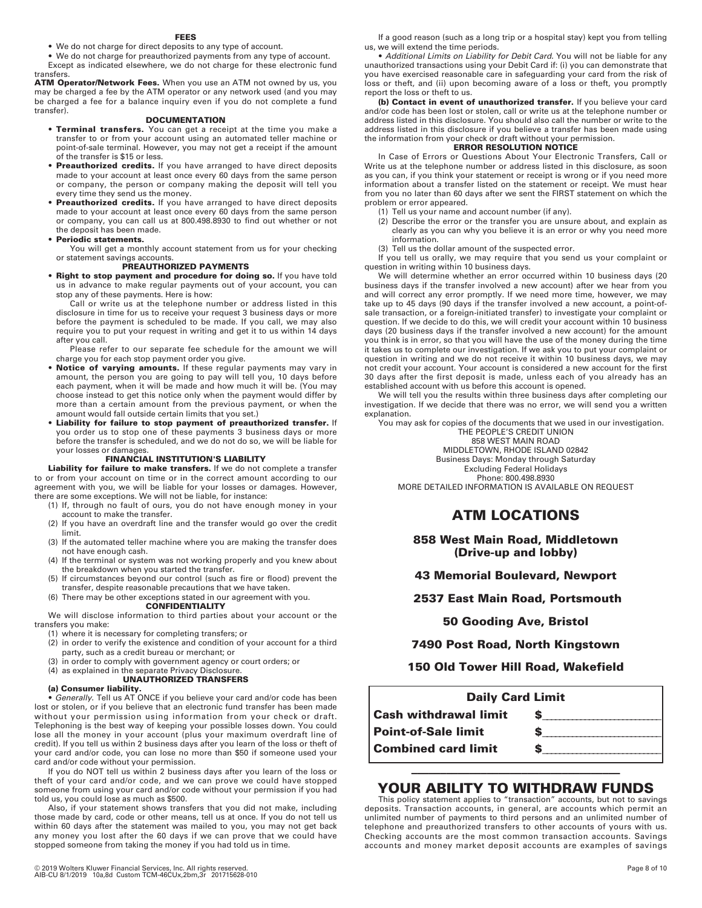#### **FEES**

**•** We do not charge for direct deposits to any type of account.

**•** We do not charge for preauthorized payments from any type of account. Except as indicated elsewhere, we do not charge for these electronic fund transfers.

**ATM Operator/Network Fees.** When you use an ATM not owned by us, you may be charged a fee by the ATM operator or any network used (and you may be charged a fee for a balance inquiry even if you do not complete a fund transfer).

#### **DOCUMENTATION**

- **Terminal transfers.** You can get a receipt at the time you make a transfer to or from your account using an automated teller machine or point-of-sale terminal. However, you may not get a receipt if the amount of the transfer is \$15 or less.
- **Preauthorized credits.** If you have arranged to have direct deposits made to your account at least once every 60 days from the same person or company, the person or company making the deposit will tell you every time they send us the money.
- **Preauthorized credits.** If you have arranged to have direct deposits made to your account at least once every 60 days from the same person or company, you can call us at 800.498.8930 to find out whether or not the deposit has been made.

#### **• Periodic statements.**

You will get a monthly account statement from us for your checking or statement savings accounts.

## **PREAUTHORIZED PAYMENTS**

**• Right to stop payment and procedure for doing so.** If you have told us in advance to make regular payments out of your account, you can stop any of these payments. Here is how:

Call or write us at the telephone number or address listed in this disclosure in time for us to receive your request 3 business days or more before the payment is scheduled to be made. If you call, we may also require you to put your request in writing and get it to us within 14 days after you call.

Please refer to our separate fee schedule for the amount we will charge you for each stop payment order you give.

- **Notice of varying amounts.** If these regular payments may vary in amount, the person you are going to pay will tell you, 10 days before each payment, when it will be made and how much it will be. (You may choose instead to get this notice only when the payment would differ by more than a certain amount from the previous payment, or when the amount would fall outside certain limits that you set.)
- **Liability for failure to stop payment of preauthorized transfer.** If you order us to stop one of these payments 3 business days or more before the transfer is scheduled, and we do not do so, we will be liable for your losses or damages.

## **FINANCIAL INSTITUTION'S LIABILITY**

**Liability for failure to make transfers.** If we do not complete a transfer to or from your account on time or in the correct amount according to our agreement with you, we will be liable for your losses or damages. However, there are some exceptions. We will not be liable, for instance:

- (1) If, through no fault of ours, you do not have enough money in your account to make the transfer.
- (2) If you have an overdraft line and the transfer would go over the credit limit.
- (3) If the automated teller machine where you are making the transfer does not have enough cash.
- (4) If the terminal or system was not working properly and you knew about the breakdown when you started the transfer.
- (5) If circumstances beyond our control (such as fire or flood) prevent the transfer, despite reasonable precautions that we have taken.
- (6) There may be other exceptions stated in our agreement with you.

**CONFIDENTIALITY** 

We will disclose information to third parties about your account or the transfers you make:

- (1) where it is necessary for completing transfers; or
- (2) in order to verify the existence and condition of your account for a third party, such as a credit bureau or merchant; or
- (3) in order to comply with government agency or court orders; or
- (4) as explained in the separate Privacy Disclosure.
- **UNAUTHORIZED TRANSFERS**

## **(a) Consumer liability.**

**•** *Generally.* Tell us AT ONCE if you believe your card and/or code has been lost or stolen, or if you believe that an electronic fund transfer has been made without your permission using information from your check or draft. Telephoning is the best way of keeping your possible losses down. You could lose all the money in your account (plus your maximum overdraft line of credit). If you tell us within 2 business days after you learn of the loss or theft of your card and/or code, you can lose no more than \$50 if someone used your card and/or code without your permission.

If you do NOT tell us within 2 business days after you learn of the loss or theft of your card and/or code, and we can prove we could have stopped someone from using your card and/or code without your permission if you had told us, you could lose as much as \$500.

Also, if your statement shows transfers that you did not make, including those made by card, code or other means, tell us at once. If you do not tell us within 60 days after the statement was mailed to you, you may not get back any money you lost after the 60 days if we can prove that we could have stopped someone from taking the money if you had told us in time.

If a good reason (such as a long trip or a hospital stay) kept you from telling us, we will extend the time periods.

**•** *Additional Limits on Liability for Debit Card.* You will not be liable for any unauthorized transactions using your Debit Card if: (i) you can demonstrate that you have exercised reasonable care in safeguarding your card from the risk of loss or theft, and (ii) upon becoming aware of a loss or theft, you promptly report the loss or theft to us.

**(b) Contact in event of unauthorized transfer.** If you believe your card and/or code has been lost or stolen, call or write us at the telephone number or address listed in this disclosure. You should also call the number or write to the address listed in this disclosure if you believe a transfer has been made using the information from your check or draft without your permission.

## **ERROR RESOLUTION NOTICE**

In Case of Errors or Questions About Your Electronic Transfers, Call or Write us at the telephone number or address listed in this disclosure, as soon as you can, if you think your statement or receipt is wrong or if you need more information about a transfer listed on the statement or receipt. We must hear from you no later than 60 days after we sent the FIRST statement on which the problem or error appeared.

- (1) Tell us your name and account number (if any).
- (2) Describe the error or the transfer you are unsure about, and explain as clearly as you can why you believe it is an error or why you need more information.
- (3) Tell us the dollar amount of the suspected error.

If you tell us orally, we may require that you send us your complaint or question in writing within 10 business days.

We will determine whether an error occurred within 10 business days (20 business days if the transfer involved a new account) after we hear from you and will correct any error promptly. If we need more time, however, we may take up to 45 days (90 days if the transfer involved a new account, a point-ofsale transaction, or a foreign-initiated transfer) to investigate your complaint or question. If we decide to do this, we will credit your account within 10 business days (20 business days if the transfer involved a new account) for the amount you think is in error, so that you will have the use of the money during the time it takes us to complete our investigation. If we ask you to put your complaint or question in writing and we do not receive it within 10 business days, we may not credit your account. Your account is considered a new account for the first 30 days after the first deposit is made, unless each of you already has an established account with us before this account is opened.

We will tell you the results within three business days after completing our investigation. If we decide that there was no error, we will send you a written explanation.

You may ask for copies of the documents that we used in our investigation.

THE PEOPLE'S CREDIT UNION 858 WEST MAIN ROAD MIDDLETOWN, RHODE ISLAND 02842 Business Days: Monday through Saturday Excluding Federal Holidays Phone: 800.498.8930 MORE DETAILED INFORMATION IS AVAILABLE ON REQUEST

## **ATM LOCATIONS**

**858 West Main Road, Middletown (Drive-up and lobby)** 

**43 Memorial Boulevard, Newport** 

 **2537 East Main Road, Portsmouth** 

**50 Gooding Ave, Bristol** 

## **7490 Post Road, North Kingstown**

## **150 Old Tower Hill Road, Wakefield**

| <b>Daily Card Limit</b>      |  |
|------------------------------|--|
| <b>Cash withdrawal limit</b> |  |
| <b>Point-of-Sale limit</b>   |  |
| <b>Combined card limit</b>   |  |

## ———————————————————————————————————— **YOUR ABILITY TO WITHDRAW FUNDS**

This policy statement applies to "transaction" accounts, but not to savings deposits. Transaction accounts, in general, are accounts which permit an unlimited number of payments to third persons and an unlimited number of telephone and preauthorized transfers to other accounts of yours with us. Checking accounts are the most common transaction accounts. Savings accounts and money market deposit accounts are examples of savings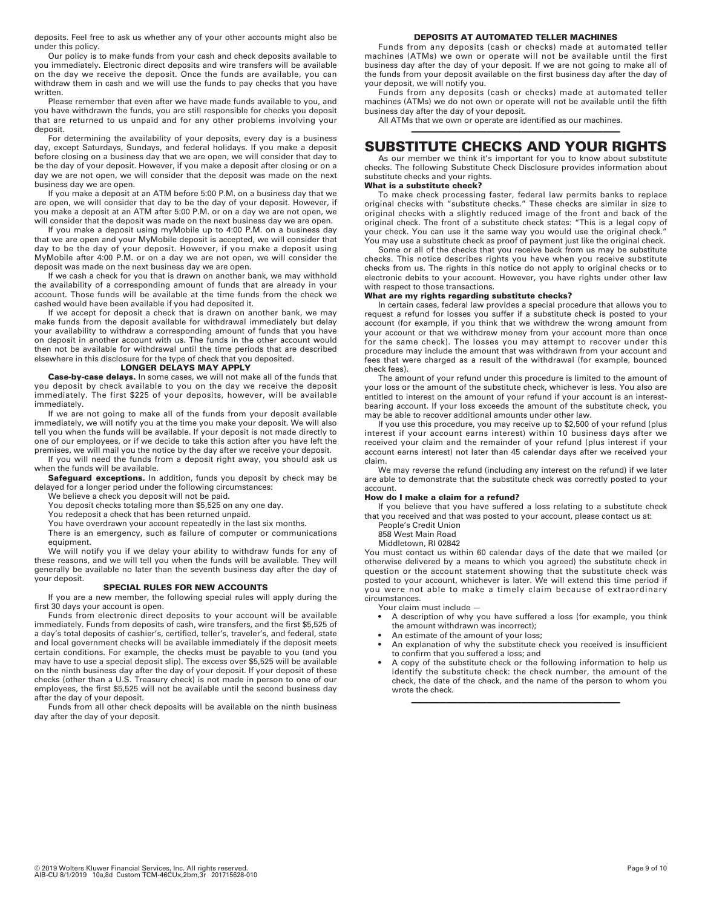deposits. Feel free to ask us whether any of your other accounts might also be under this policy.

Our policy is to make funds from your cash and check deposits available to you immediately. Electronic direct deposits and wire transfers will be available on the day we receive the deposit. Once the funds are available, you can withdraw them in cash and we will use the funds to pay checks that you have written.

Please remember that even after we have made funds available to you, and you have withdrawn the funds, you are still responsible for checks you deposit that are returned to us unpaid and for any other problems involving your deposit.

For determining the availability of your deposits, every day is a business day, except Saturdays, Sundays, and federal holidays. If you make a deposit before closing on a business day that we are open, we will consider that day to be the day of your deposit. However, if you make a deposit after closing or on a day we are not open, we will consider that the deposit was made on the next business day we are open.

If you make a deposit at an ATM before 5:00 P.M. on a business day that we are open, we will consider that day to be the day of your deposit. However, if you make a deposit at an ATM after 5:00 P.M. or on a day we are not open, we will consider that the deposit was made on the next business day we are open.

If you make a deposit using myMobile up to 4:00 P.M. on a business day that we are open and your MyMobile deposit is accepted, we will consider that day to be the day of your deposit. However, if you make a deposit using MyMobile after 4:00 P.M. or on a day we are not open, we will consider the deposit was made on the next business day we are open.

If we cash a check for you that is drawn on another bank, we may withhold the availability of a corresponding amount of funds that are already in your account. Those funds will be available at the time funds from the check we cashed would have been available if you had deposited it.

If we accept for deposit a check that is drawn on another bank, we may make funds from the deposit available for withdrawal immediately but delay your availability to withdraw a corresponding amount of funds that you have on deposit in another account with us. The funds in the other account would then not be available for withdrawal until the time periods that are described elsewhere in this disclosure for the type of check that you deposited.

#### **LONGER DELAYS MAY APPLY**

**Case-by-case delays.** In some cases, we will not make all of the funds that you deposit by check available to you on the day we receive the deposit immediately. The first \$225 of your deposits, however, will be available immediately.

If we are not going to make all of the funds from your deposit available immediately, we will notify you at the time you make your deposit. We will also tell you when the funds will be available. If your deposit is not made directly to one of our employees, or if we decide to take this action after you have left the premises, we will mail you the notice by the day after we receive your deposit.

If you will need the funds from a deposit right away, you should ask us when the funds will be available.

Safeguard exceptions. In addition, funds you deposit by check may be delayed for a longer period under the following circumstances:

We believe a check you deposit will not be paid. You deposit checks totaling more than \$5,525 on any one day.

You redeposit a check that has been returned unpaid.

You have overdrawn your account repeatedly in the last six months.

There is an emergency, such as failure of computer or communications equipment.

We will notify you if we delay your ability to withdraw funds for any of these reasons, and we will tell you when the funds will be available. They will generally be available no later than the seventh business day after the day of your deposit.

## **SPECIAL RULES FOR NEW ACCOUNTS**

If you are a new member, the following special rules will apply during the first 30 days your account is open.

Funds from electronic direct deposits to your account will be available immediately. Funds from deposits of cash, wire transfers, and the first \$5,525 of a day's total deposits of cashier's, certified, teller's, traveler's, and federal, state and local government checks will be available immediately if the deposit meets certain conditions. For example, the checks must be payable to you (and you may have to use a special deposit slip). The excess over \$5,525 will be available on the ninth business day after the day of your deposit. If your deposit of these checks (other than a U.S. Treasury check) is not made in person to one of our employees, the first \$5,525 will not be available until the second business day after the day of your deposit.

Funds from all other check deposits will be available on the ninth business day after the day of your deposit.

## **DEPOSITS AT AUTOMATED TELLER MACHINES**

Funds from any deposits (cash or checks) made at automated teller machines (ATMs) we own or operate will not be available until the first business day after the day of your deposit. If we are not going to make all of the funds from your deposit available on the first business day after the day of your deposit, we will notify you.

Funds from any deposits (cash or checks) made at automated teller machines (ATMs) we do not own or operate will not be available until the fifth business day after the day of your deposit.

All ATMs that we own or operate are identified as our machines.

## ———————————————————————————————————— **SUBSTITUTE CHECKS AND YOUR RIGHTS**

As our member we think it's important for you to know about substitute checks. The following Substitute Check Disclosure provides information about substitute checks and your rights.

#### **What is a substitute check?**

To make check processing faster, federal law permits banks to replace original checks with "substitute checks." These checks are similar in size to original checks with a slightly reduced image of the front and back of the original check. The front of a substitute check states: "This is a legal copy of your check. You can use it the same way you would use the original check." You may use a substitute check as proof of payment just like the original check.

Some or all of the checks that you receive back from us may be substitute checks. This notice describes rights you have when you receive substitute checks from us. The rights in this notice do not apply to original checks or to electronic debits to your account. However, you have rights under other law with respect to those transactions.

### **What are my rights regarding substitute checks?**

In certain cases, federal law provides a special procedure that allows you to request a refund for losses you suffer if a substitute check is posted to your account (for example, if you think that we withdrew the wrong amount from your account or that we withdrew money from your account more than once for the same check). The losses you may attempt to recover under this procedure may include the amount that was withdrawn from your account and fees that were charged as a result of the withdrawal (for example, bounced check fees).

The amount of your refund under this procedure is limited to the amount of your loss or the amount of the substitute check, whichever is less. You also are entitled to interest on the amount of your refund if your account is an interestbearing account. If your loss exceeds the amount of the substitute check, you may be able to recover additional amounts under other law.

If you use this procedure, you may receive up to \$2,500 of your refund (plus interest if your account earns interest) within 10 business days after we received your claim and the remainder of your refund (plus interest if your account earns interest) not later than 45 calendar days after we received your claim.

We may reverse the refund (including any interest on the refund) if we later are able to demonstrate that the substitute check was correctly posted to your account.

#### **How do I make a claim for a refund?**

If you believe that you have suffered a loss relating to a substitute check that you received and that was posted to your account, please contact us at:

People's Credit Union

858 West Main Road

Middletown, RI 02842

You must contact us within 60 calendar days of the date that we mailed (or otherwise delivered by a means to which you agreed) the substitute check in question or the account statement showing that the substitute check was posted to your account, whichever is later. We will extend this time period if you were not able to make a timely claim because of extraordinary circumstances.

Your claim must include —

- A description of why you have suffered a loss (for example, you think the amount withdrawn was incorrect);
- An estimate of the amount of your loss:
- An explanation of why the substitute check you received is insufficient to confirm that you suffered a loss; and
- A copy of the substitute check or the following information to help us identify the substitute check: the check number, the amount of the check, the date of the check, and the name of the person to whom you wrote the check.

————————————————————————————————————